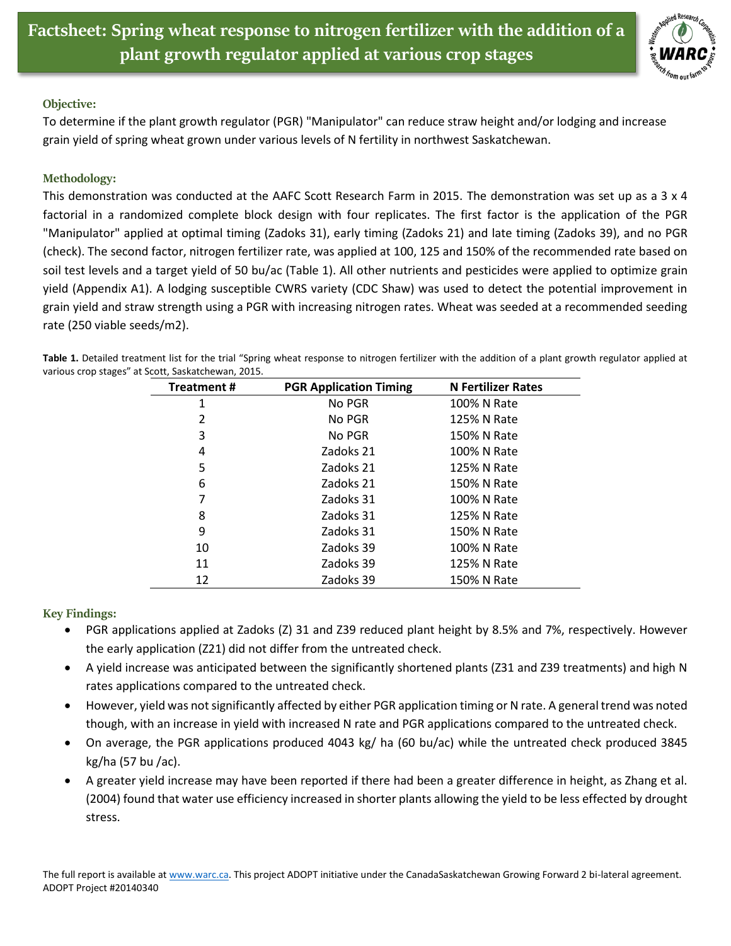

## **Objective:**

To determine if the plant growth regulator (PGR) "Manipulator" can reduce straw height and/or lodging and increase grain yield of spring wheat grown under various levels of N fertility in northwest Saskatchewan.

## **Methodology:**

This demonstration was conducted at the AAFC Scott Research Farm in 2015. The demonstration was set up as a 3 x 4 factorial in a randomized complete block design with four replicates. The first factor is the application of the PGR "Manipulator" applied at optimal timing (Zadoks 31), early timing (Zadoks 21) and late timing (Zadoks 39), and no PGR (check). The second factor, nitrogen fertilizer rate, was applied at 100, 125 and 150% of the recommended rate based on soil test levels and a target yield of 50 bu/ac (Table 1). All other nutrients and pesticides were applied to optimize grain yield (Appendix A1). A lodging susceptible CWRS variety (CDC Shaw) was used to detect the potential improvement in grain yield and straw strength using a PGR with increasing nitrogen rates. Wheat was seeded at a recommended seeding rate (250 viable seeds/m2).

| <b>Treatment#</b> | <b>PGR Application Timing</b> | <b>N Fertilizer Rates</b> |
|-------------------|-------------------------------|---------------------------|
| 1                 | No PGR                        | 100% N Rate               |
| 2                 | No PGR                        | 125% N Rate               |
| 3                 | No PGR                        | 150% N Rate               |
| 4                 | Zadoks 21                     | 100% N Rate               |
| 5                 | Zadoks 21                     | 125% N Rate               |
| 6                 | Zadoks 21                     | 150% N Rate               |
| 7                 | Zadoks 31                     | 100% N Rate               |
| 8                 | Zadoks 31                     | 125% N Rate               |
| 9                 | Zadoks 31                     | 150% N Rate               |
| 10                | Zadoks 39                     | 100% N Rate               |
| 11                | Zadoks 39                     | 125% N Rate               |
| 12                | Zadoks 39                     | 150% N Rate               |

**Table 1.** Detailed treatment list for the trial "Spring wheat response to nitrogen fertilizer with the addition of a plant growth regulator applied at various crop stages" at Scott, Saskatchewan, 2015.

**Key Findings:**

- PGR applications applied at Zadoks (Z) 31 and Z39 reduced plant height by 8.5% and 7%, respectively. However the early application (Z21) did not differ from the untreated check.
- A yield increase was anticipated between the significantly shortened plants (Z31 and Z39 treatments) and high N rates applications compared to the untreated check.
- However, yield was not significantly affected by either PGR application timing or N rate. A general trend was noted though, with an increase in yield with increased N rate and PGR applications compared to the untreated check.
- On average, the PGR applications produced 4043 kg/ ha (60 bu/ac) while the untreated check produced 3845 kg/ha (57 bu /ac).
- A greater yield increase may have been reported if there had been a greater difference in height, as Zhang et al. (2004) found that water use efficiency increased in shorter plants allowing the yield to be less effected by drought stress.